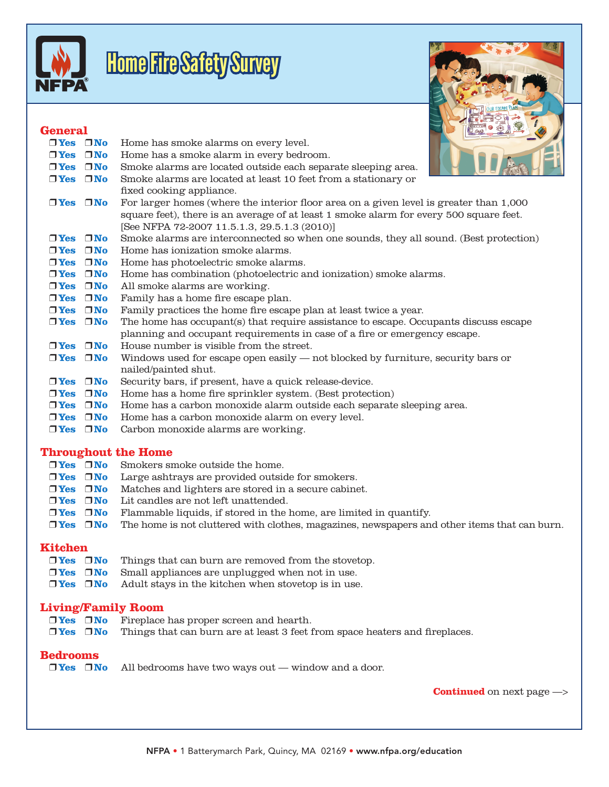

# Home Fire Safety Survey

## **General**



#### **Throughout the Home**

|                            |                            | $\Box$ Yes $\Box$ No Smokers smoke outside the home.                                                              |
|----------------------------|----------------------------|-------------------------------------------------------------------------------------------------------------------|
| $\square$ Yes $\square$ No |                            | Large ashtrays are provided outside for smokers.                                                                  |
|                            | $\square$ Yes $\square$ No | Matches and lighters are stored in a secure cabinet.                                                              |
|                            |                            | $\Box$ Yes $\Box$ No Lit candles are not left unattended.                                                         |
| $\square$ Yes $\square$ No |                            | Flammable liquids, if stored in the home, are limited in quantify.                                                |
|                            |                            | $\Box$ Yes $\Box$ No The home is not cluttered with clothes, magazines, newspapers and other items that can burn. |

#### **Kitchen**

| $\n  Yes\n  TVo\n$ | Things that can burn are removed from the stovetop.                          |
|--------------------|------------------------------------------------------------------------------|
|                    | <b>Tree</b> $\Box$ <b>No</b> Small appliances are unplugged when not in use. |
| $\n  Yes\n  7No\n$ | Adult stavs in the kitchen when stovetop is in use.                          |

#### **Living/Family Room**

| $\Box$ Yes $\Box$ No Fireplace has proper screen and hearth.                                     |
|--------------------------------------------------------------------------------------------------|
| $\Box$ Yes $\Box$ No Things that can burn are at least 3 feet from space heaters and fireplaces. |

#### **Bedrooms**

 $\Box$  Yes  $\Box$  No All bedrooms have two ways out — window and a door.

**Continued** on next page —>

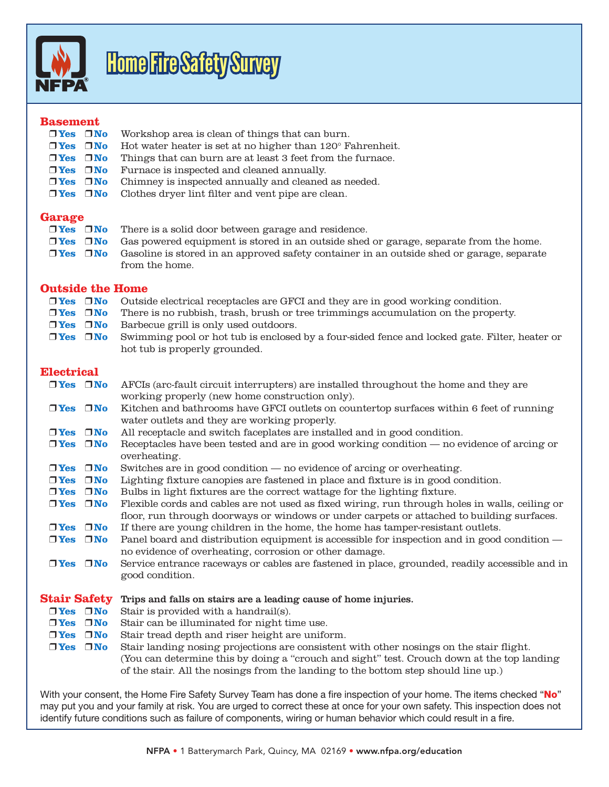

# Home Fire Safety Survey

#### **Basement**

|                    | $\Box$ Yes $\Box$ No Workshop area is clean of things that can burn.                              |
|--------------------|---------------------------------------------------------------------------------------------------|
|                    | <b>Trues</b> $\Box$ <b>No</b> Hot water heater is set at no higher than 120 $\degree$ Fahrenheit. |
| $\n  Yes\n  INo\n$ | Things that can burn are at least 3 feet from the furnace.                                        |
|                    | $\Box$ Yes $\Box$ No Furnace is inspected and cleaned annually.                                   |
|                    | $\Box$ Yes $\Box$ No Chimney is inspected annually and cleaned as needed.                         |
|                    | $\Box$ Yes $\Box$ No Clothes dryer lint filter and vent pipe are clean.                           |

#### **Garage**

| $\n  Yes\n  INo\n$         | There is a solid door between garage and residence.                                       |
|----------------------------|-------------------------------------------------------------------------------------------|
| $\square$ Yes $\square$ No | Gas powered equipment is stored in an outside shed or garage, separate from the home.     |
| $\n  Yes\n  TVo\n$         | Gasoline is stored in an approved safety container in an outside shed or garage, separate |
|                            | from the home.                                                                            |

#### **Outside the Home**

| <b>Outside the Home</b>                  |  |                                                                                                |  |  |
|------------------------------------------|--|------------------------------------------------------------------------------------------------|--|--|
| $\n  Yes\n  INo\n$                       |  | Outside electrical receptacles are GFCI and they are in good working condition.                |  |  |
| $\n  Yes\n  INo\n$                       |  | There is no rubbish, trash, brush or tree trimmings accumulation on the property.              |  |  |
| $\n  Yes\n  INo\n$                       |  | Barbecue grill is only used outdoors.                                                          |  |  |
| $\n  Yes\n  INo\n$                       |  | Swimming pool or hot tub is enclosed by a four-sided fence and locked gate. Filter, heater or  |  |  |
|                                          |  | hot tub is properly grounded.                                                                  |  |  |
| Electrical                               |  |                                                                                                |  |  |
| $\n  Yes\n  INo\n$                       |  | AFCIs (arc-fault circuit interrupters) are installed throughout the home and they are          |  |  |
|                                          |  | working properly (new home construction only).                                                 |  |  |
| $\n  Yes\n  INo\n$                       |  | Kitchen and bathrooms have GFCI outlets on countertop surfaces within 6 feet of running        |  |  |
|                                          |  | water outlets and they are working properly.                                                   |  |  |
| $\n  Yes\n  INo\n$                       |  | All receptacle and switch faceplates are installed and in good condition.                      |  |  |
| $\n  Yes\n  INo\n$                       |  | Receptacles have been tested and are in good working condition — no evidence of arcing or      |  |  |
|                                          |  | overheating.                                                                                   |  |  |
| $\n  Yes\n  INo\n$                       |  | Switches are in good condition — no evidence of arcing or overheating.                         |  |  |
| $\n  Yes\n  INo\n$                       |  | Lighting fixture canopies are fastened in place and fixture is in good condition.              |  |  |
| $\n  Yes\n  INo\n$                       |  | Bulbs in light fixtures are the correct wattage for the lighting fixture.                      |  |  |
| $\n  Yes\n  INo\n$                       |  | Flexible cords and cables are not used as fixed wiring, run through holes in walls, ceiling or |  |  |
|                                          |  | floor, run through doorways or windows or under carpets or attached to building surfaces.      |  |  |
| $\n  Yes\n  INo\n$                       |  | If there are young children in the home, the home has tamper-resistant outlets.                |  |  |
| $\n  Yes\n  INo\n$                       |  | Panel board and distribution equipment is accessible for inspection and in good condition —    |  |  |
|                                          |  | no evidence of overheating, corrosion or other damage.                                         |  |  |
| $\n  Yes\n  INo\n$                       |  | Service entrance raceways or cables are fastened in place, grounded, readily accessible and in |  |  |
|                                          |  | good condition.                                                                                |  |  |
|                                          |  |                                                                                                |  |  |
| <b>Stair Safety</b>                      |  | Trips and falls on stairs are a leading cause of home injuries.                                |  |  |
| $\n  Yes\n  INo\n$                       |  | Stair is provided with a handrail(s).                                                          |  |  |
| $\n  Yes\n  INo\n$                       |  | Stair can be illuminated for night time use.                                                   |  |  |
| $\n  Yes\n  INo\n$<br>$\n  Yes\n  INo\n$ |  | Stair tread depth and riser height are uniform.                                                |  |  |
|                                          |  | Stair landing nosing projections are consistent with other nosings on the stair flight.        |  |  |
|                                          |  | (You can determine this by doing a "crouch and sight" test. Crouch down at the top landing     |  |  |
|                                          |  | of the stair. All the nosings from the landing to the bottom step should line up.)             |  |  |
|                                          |  |                                                                                                |  |  |

With your consent, the Home Fire Safety Survey Team has done a fire inspection of your home. The items checked "No" may put you and your family at risk. You are urged to correct these at once for your own safety. This inspection does not identify future conditions such as failure of components, wiring or human behavior which could result in a fire.